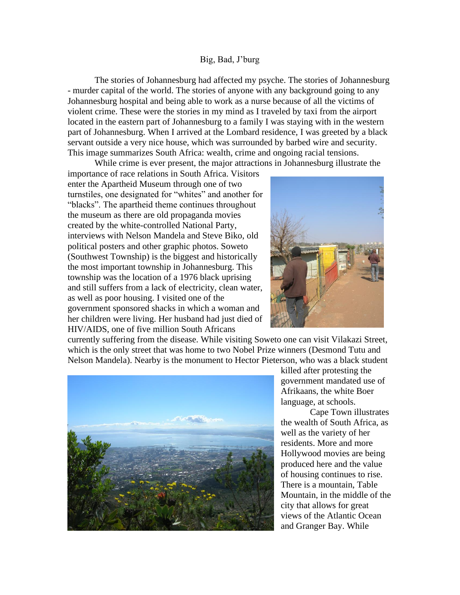## Big, Bad, J'burg

The stories of Johannesburg had affected my psyche. The stories of Johannesburg - murder capital of the world. The stories of anyone with any background going to any Johannesburg hospital and being able to work as a nurse because of all the victims of violent crime. These were the stories in my mind as I traveled by taxi from the airport located in the eastern part of Johannesburg to a family I was staying with in the western part of Johannesburg. When I arrived at the Lombard residence, I was greeted by a black servant outside a very nice house, which was surrounded by barbed wire and security. This image summarizes South Africa: wealth, crime and ongoing racial tensions.

While crime is ever present, the major attractions in Johannesburg illustrate the

importance of race relations in South Africa. Visitors enter the Apartheid Museum through one of two turnstiles, one designated for "whites" and another for "blacks". The apartheid theme continues throughout the museum as there are old propaganda movies created by the white-controlled National Party, interviews with Nelson Mandela and Steve Biko, old political posters and other graphic photos. Soweto (Southwest Township) is the biggest and historically the most important township in Johannesburg. This township was the location of a 1976 black uprising and still suffers from a lack of electricity, clean water, as well as poor housing. I visited one of the government sponsored shacks in which a woman and her children were living. Her husband had just died of HIV/AIDS, one of five million South Africans



currently suffering from the disease. While visiting Soweto one can visit Vilakazi Street, which is the only street that was home to two Nobel Prize winners (Desmond Tutu and Nelson Mandela). Nearby is the monument to Hector Pieterson, who was a black student



killed after protesting the government mandated use of Afrikaans, the white Boer language, at schools.

Cape Town illustrates the wealth of South Africa, as well as the variety of her residents. More and more Hollywood movies are being produced here and the value of housing continues to rise. There is a mountain, Table Mountain, in the middle of the city that allows for great views of the Atlantic Ocean and Granger Bay. While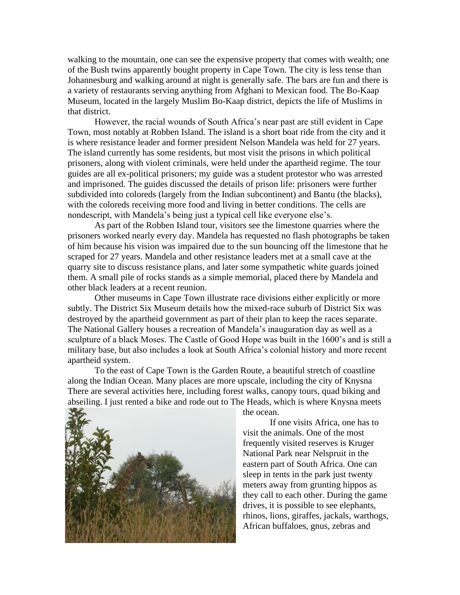walking to the mountain, one can see the expensive property that comes with wealth; one of the Bush twins apparently bought property in Cape Town. The city is less tense than Johannesburg and walking around at night is generally safe. The bars are fun and there is a variety of restaurants serving anything from Afghani to Mexican food. The Bo-Kaap Museum, located in the largely Muslim Bo-Kaap district, depicts the life of Muslims in that district.

However, the racial wounds of South Africa's near past are still evident in Cape Town, most notably at Robben Island. The island is a short boat ride from the city and it is where resistance leader and former president Nelson Mandela was held for 27 years. The island currently has some residents, but most visit the prisons in which political prisoners, along with violent criminals, were held under the apartheid regime. The tour guides are all ex-political prisoners; my guide was a student protestor who was arrested and imprisoned. The guides discussed the details of prison life: prisoners were further subdivided into coloreds (largely from the Indian subcontinent) and Bantu (the blacks), with the coloreds receiving more food and living in better conditions. The cells are nondescript, with Mandela's being just a typical cell like everyone else's.

As part of the Robben Island tour, visitors see the limestone quarries where the prisoners worked nearly every day. Mandela has requested no flash photographs be taken of him because his vision was impaired due to the sun bouncing off the limestone that he scraped for 27 years. Mandela and other resistance leaders met at a small cave at the quarry site to discuss resistance plans, and later some sympathetic white guards joined them. A small pile of rocks stands as a simple memorial, placed there by Mandela and other black leaders at a recent reunion.

Other museums in Cape Town illustrate race divisions either explicitly or more subtly. The District Six Museum details how the mixed-race suburb of District Six was destroyed by the apartheid government as part of their plan to keep the races separate. The National Gallery houses a recreation of Mandela's inauguration day as well as a sculpture of a black Moses. The Castle of Good Hope was built in the 1600's and is still a military base, but also includes a look at South Africa's colonial history and more recent apartheid system.

To the east of Cape Town is the Garden Route, a beautiful stretch of coastline along the Indian Ocean. Many places are more upscale, including the city of Knysna There are several activities here, including forest walks, canopy tours, quad biking and abseiling. I just rented a bike and rode out to The Heads, which is where Knysna meets



the ocean.

If one visits Africa, one has to visit the animals. One of the most frequently visited reserves is Kruger National Park near Nelspruit in the eastern part of South Africa. One can sleep in tents in the park just twenty meters away from grunting hippos as they call to each other. During the game drives, it is possible to see elephants, rhinos, lions, giraffes, jackals, warthogs, African buffaloes, gnus, zebras and